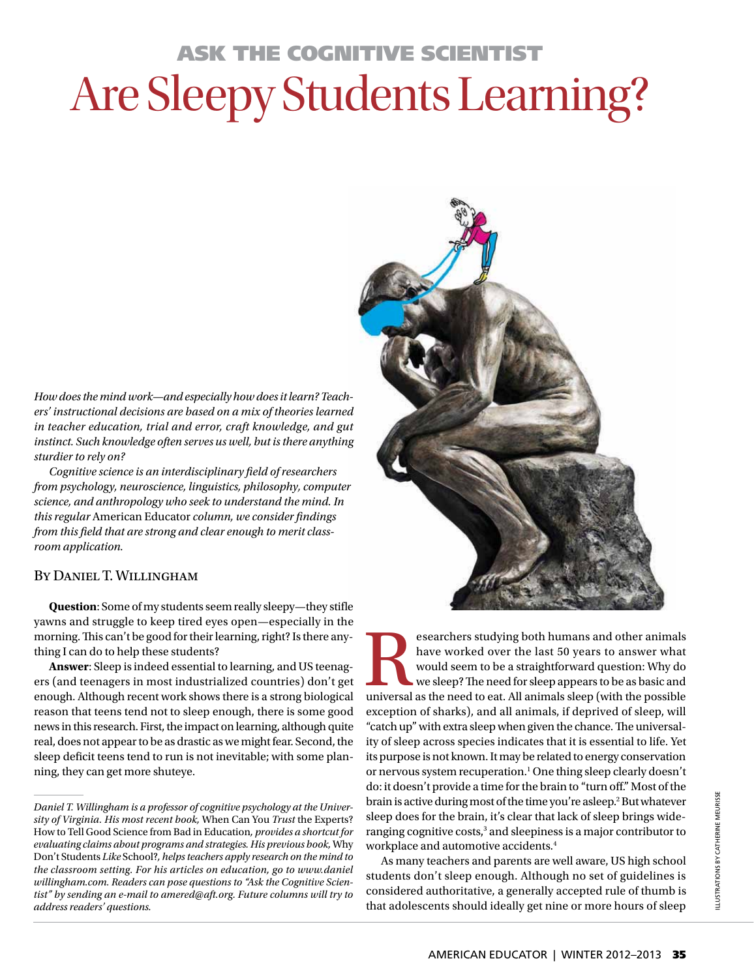# Ask the Cognitive Scientist Are Sleepy Students Learning?

*How does the mind work—and especially how does it learn? Teachers' instructional decisions are based on a mix of theories learned in teacher education, trial and error, craft knowledge, and gut instinct. Such knowledge often serves us well, but is there anything sturdier to rely on?*

*Cognitive science is an interdisciplinary field of researchers from psychology, neuroscience, linguistics, philosophy, computer science, and anthropology who seek to understand the mind. In this regular* American Educator *column, we consider findings from this field that are strong and clear enough to merit classroom application.* 

### By Daniel T. Willingham

**Question**: Some of my students seem really sleepy—they stifle yawns and struggle to keep tired eyes open—especially in the morning. This can't be good for their learning, right? Is there anything I can do to help these students?

**Answer**: Sleep is indeed essential to learning, and US teenagers (and teenagers in most industrialized countries) don't get enough. Although recent work shows there is a strong biological reason that teens tend not to sleep enough, there is some good news in this research. First, the impact on learning, although quite real, does not appear to be as drastic as we might fear. Second, the sleep deficit teens tend to run is not inevitable; with some planning, they can get more shuteye.



Examples are studying both humans and other animals have worked over the last 50 years to answer what would seem to be a straightforward question: Why do we sleep? The need for sleep appears to be as basic and universal as have worked over the last 50 years to answer what would seem to be a straightforward question: Why do we sleep? The need for sleep appears to be as basic and exception of sharks), and all animals, if deprived of sleep, will "catch up" with extra sleep when given the chance. The universality of sleep across species indicates that it is essential to life. Yet its purpose is not known. It may be related to energy conservation or nervous system recuperation.<sup>1</sup> One thing sleep clearly doesn't do: it doesn't provide a time for the brain to "turn off." Most of the brain is active during most of the time you're asleep.<sup>2</sup> But whatever sleep does for the brain, it's clear that lack of sleep brings wideranging cognitive costs,<sup>3</sup> and sleepiness is a major contributor to workplace and automotive accidents.4

As many teachers and parents are well aware, US high school students don't sleep enough. Although no set of guidelines is considered authoritative, a generally accepted rule of thumb is that adolescents should ideally get nine or more hours of sleep

*Daniel T. Willingham is a professor of cognitive psychology at the University of Virginia. His most recent book,* When Can You *Trust* the Experts? How to Tell Good Science from Bad in Education*, provides a shortcut for evaluating claims about programs and strategies. His previous book,* Why Don't Students *Like* School?*, helps teachers apply research on the mind to the classroom setting. For his articles on education, go to www.daniel [willingham.com. Readers can pose questions to "Ask the Cognitive Scien](www.danielwillingham.com)tist" by sending an e-mail to amered@aft.org. Future columns will try to address readers' questions.*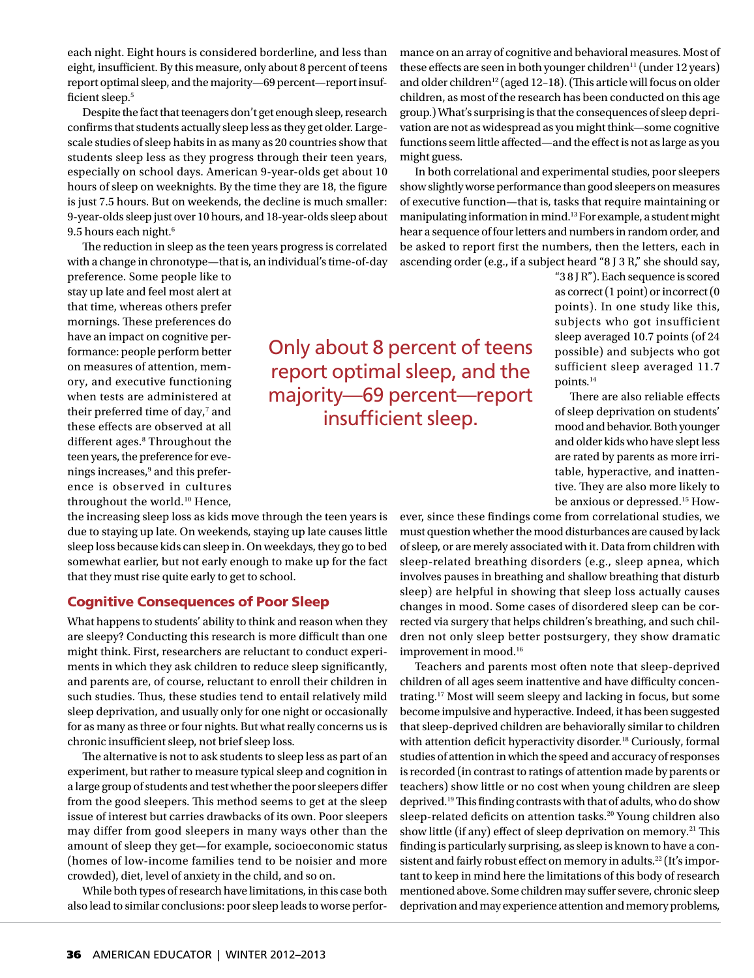each night. Eight hours is considered borderline, and less than eight, insufficient. By this measure, only about 8 percent of teens report optimal sleep, and the majority—69 percent—report insufficient sleep.<sup>5</sup>

Despite the fact that teenagers don't get enough sleep, research confirms that students actually sleep less as they get older. Largescale studies of sleep habits in as many as 20 countries show that students sleep less as they progress through their teen years, especially on school days. American 9-year-olds get about 10 hours of sleep on weeknights. By the time they are 18, the figure is just 7.5 hours. But on weekends, the decline is much smaller: 9-year-olds sleep just over 10 hours, and 18-year-olds sleep about 9.5 hours each night.<sup>6</sup>

The reduction in sleep as the teen years progress is correlated with a change in chronotype—that is, an individual's time-of-day

preference. Some people like to stay up late and feel most alert at that time, whereas others prefer mornings. These preferences do have an impact on cognitive performance: people perform better on measures of attention, memory, and executive functioning when tests are administered at their preferred time of day,<sup>7</sup> and these effects are observed at all different ages.8 Throughout the teen years, the preference for evenings increases,<sup>9</sup> and this preference is observed in cultures throughout the world.<sup>10</sup> Hence,

the increasing sleep loss as kids move through the teen years is due to staying up late. On weekends, staying up late causes little sleep loss because kids can sleep in. On weekdays, they go to bed somewhat earlier, but not early enough to make up for the fact that they must rise quite early to get to school.

#### Cognitive Consequences of Poor Sleep

What happens to students' ability to think and reason when they are sleepy? Conducting this research is more difficult than one might think. First, researchers are reluctant to conduct experiments in which they ask children to reduce sleep significantly, and parents are, of course, reluctant to enroll their children in such studies. Thus, these studies tend to entail relatively mild sleep deprivation, and usually only for one night or occasionally for as many as three or four nights. But what really concerns us is chronic insufficient sleep, not brief sleep loss.

The alternative is not to ask students to sleep less as part of an experiment, but rather to measure typical sleep and cognition in a large group of students and test whether the poor sleepers differ from the good sleepers. This method seems to get at the sleep issue of interest but carries drawbacks of its own. Poor sleepers may differ from good sleepers in many ways other than the amount of sleep they get—for example, socioeconomic status (homes of low-income families tend to be noisier and more crowded), diet, level of anxiety in the child, and so on.

While both types of research have limitations, in this case both also lead to similar conclusions: poor sleep leads to worse performance on an array of cognitive and behavioral measures. Most of these effects are seen in both younger children<sup>11</sup> (under 12 years) and older children<sup>12</sup> (aged 12-18). (This article will focus on older children, as most of the research has been conducted on this age group.) What's surprising is that the consequences of sleep deprivation are not as widespread as you might think—some cognitive functions seem little affected—and the effect is not as large as you might guess.

In both correlational and experimental studies, poor sleepers show slightly worse performance than good sleepers on measures of executive function—that is, tasks that require maintaining or manipulating information in mind.13 For example, a student might hear a sequence of four letters and numbers in random order, and be asked to report first the numbers, then the letters, each in ascending order (e.g., if a subject heard "8 J 3 R," she should say,

> as correct (1 point) or incorrect (0 points). In one study like this, subjects who got insufficient sleep averaged 10.7 points (of 24 possible) and subjects who got sufficient sleep averaged 11.7 points.14

"3 8 J R"). Each sequence is scored

There are also reliable effects of sleep deprivation on students' mood and behavior. Both younger and older kids who have slept less are rated by parents as more irritable, hyperactive, and inattentive. They are also more likely to be anxious or depressed.15 How-

ever, since these findings come from correlational studies, we must question whether the mood disturbances are caused by lack of sleep, or are merely associated with it. Data from children with sleep-related breathing disorders (e.g., sleep apnea, which involves pauses in breathing and shallow breathing that disturb sleep) are helpful in showing that sleep loss actually causes changes in mood. Some cases of disordered sleep can be corrected via surgery that helps children's breathing, and such children not only sleep better postsurgery, they show dramatic

improvement in mood.16

Teachers and parents most often note that sleep-deprived children of all ages seem inattentive and have difficulty concentrating.17 Most will seem sleepy and lacking in focus, but some become impulsive and hyperactive. Indeed, it has been suggested that sleep-deprived children are behaviorally similar to children with attention deficit hyperactivity disorder.<sup>18</sup> Curiously, formal studies of attention in which the speed and accuracy of responses is recorded (in contrast to ratings of attention made by parents or teachers) show little or no cost when young children are sleep deprived.19 This finding contrasts with that of adults, who do show sleep-related deficits on attention tasks.<sup>20</sup> Young children also show little (if any) effect of sleep deprivation on memory.<sup>21</sup> This finding is particularly surprising, as sleep is known to have a consistent and fairly robust effect on memory in adults.<sup>22</sup> (It's important to keep in mind here the limitations of this body of research mentioned above. Some children may suffer severe, chronic sleep deprivation and may experience attention and memory problems,

Only about 8 percent of teens report optimal sleep, and the majority—69 percent—report insufficient sleep.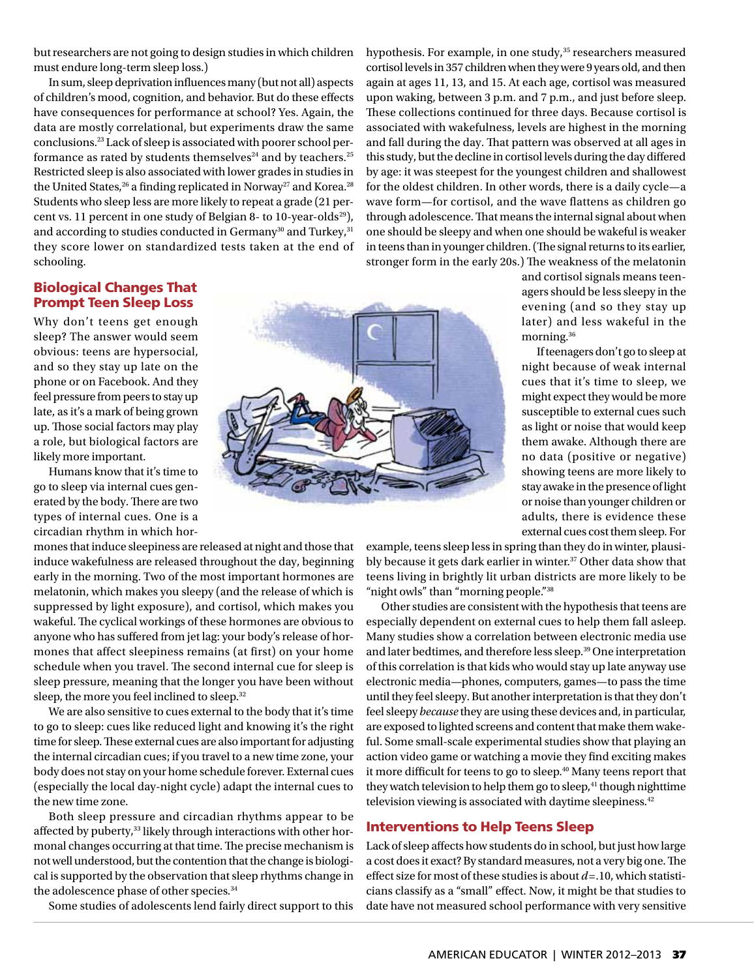but researchers are not going to design studies in which children must endure long-term sleep loss.)

In sum, sleep deprivation influences many (but not all) aspects of children's mood, cognition, and behavior. But do these effects have consequences for performance at school? Yes. Again, the data are mostly correlational, but experiments draw the same conclusions.23 Lack of sleep is associated with poorer school performance as rated by students themselves $24$  and by teachers.<sup>25</sup> Restricted sleep is also associated with lower grades in studies in the United States,<sup>26</sup> a finding replicated in Norway<sup>27</sup> and Korea.<sup>28</sup> Students who sleep less are more likely to repeat a grade (21 percent vs. 11 percent in one study of Belgian 8- to 10-year-olds<sup>29</sup>), and according to studies conducted in Germany<sup>30</sup> and Turkey,<sup>31</sup> they score lower on standardized tests taken at the end of schooling.

hypothesis. For example, in one study,<sup>35</sup> researchers measured cortisol levels in 357 children when they were 9 years old, and then again at ages 11, 13, and 15. At each age, cortisol was measured upon waking, between 3 p.m. and 7 p.m., and just before sleep. These collections continued for three days. Because cortisol is associated with wakefulness, levels are highest in the morning and fall during the day. That pattern was observed at all ages in this study, but the decline in cortisol levels during the day differed by age: it was steepest for the youngest children and shallowest for the oldest children. In other words, there is a daily cycle—a wave form—for cortisol, and the wave flattens as children go through adolescence. That means the internal signal about when one should be sleepy and when one should be wakeful is weaker in teens than in younger children. (The signal returns to its earlier, stronger form in the early 20s.) The weakness of the melatonin

# Biological Changes That Prompt Teen Sleep Loss

Why don't teens get enough sleep? The answer would seem obvious: teens are hypersocial, and so they stay up late on the phone or on Facebook. And they feel pressure from peers to stay up late, as it's a mark of being grown up. Those social factors may play a role, but biological factors are likely more important.

Humans know that it's time to go to sleep via internal cues generated by the body. There are two types of internal cues. One is a circadian rhythm in which hor-

mones that induce sleepiness are released at night and those that induce wakefulness are released throughout the day, beginning early in the morning. Two of the most important hormones are melatonin, which makes you sleepy (and the release of which is suppressed by light exposure), and cortisol, which makes you wakeful. The cyclical workings of these hormones are obvious to anyone who has suffered from jet lag: your body's release of hormones that affect sleepiness remains (at first) on your home schedule when you travel. The second internal cue for sleep is sleep pressure, meaning that the longer you have been without sleep, the more you feel inclined to sleep.<sup>32</sup>

We are also sensitive to cues external to the body that it's time to go to sleep: cues like reduced light and knowing it's the right time for sleep. These external cues are also important for adjusting the internal circadian cues; if you travel to a new time zone, your body does not stay on your home schedule forever. External cues (especially the local day-night cycle) adapt the internal cues to the new time zone.

Both sleep pressure and circadian rhythms appear to be affected by puberty,<sup>33</sup> likely through interactions with other hormonal changes occurring at that time. The precise mechanism is not well understood, but the contention that the change is biological is supported by the observation that sleep rhythms change in the adolescence phase of other species.<sup>34</sup>

Some studies of adolescents lend fairly direct support to this



and cortisol signals means teenagers should be less sleepy in the evening (and so they stay up later) and less wakeful in the morning.36

If teenagers don't go to sleep at night because of weak internal cues that it's time to sleep, we might expect they would be more susceptible to external cues such as light or noise that would keep them awake. Although there are no data (positive or negative) showing teens are more likely to stay awake in the presence of light or noise than younger children or adults, there is evidence these external cues cost them sleep. For

example, teens sleep less in spring than they do in winter, plausibly because it gets dark earlier in winter.37 Other data show that teens living in brightly lit urban districts are more likely to be "night owls" than "morning people."<sup>38</sup>

Other studies are consistent with the hypothesis that teens are especially dependent on external cues to help them fall asleep. Many studies show a correlation between electronic media use and later bedtimes, and therefore less sleep.39 One interpretation of this correlation is that kids who would stay up late anyway use electronic media—phones, computers, games—to pass the time until they feel sleepy. But another interpretation is that they don't feel sleepy *because* they are using these devices and, in particular, are exposed to lighted screens and content that make them wakeful. Some small-scale experimental studies show that playing an action video game or watching a movie they find exciting makes it more difficult for teens to go to sleep.<sup>40</sup> Many teens report that they watch television to help them go to sleep, $41$  though nighttime television viewing is associated with daytime sleepiness.<sup>42</sup>

#### Interventions to Help Teens Sleep

Lack of sleep affects how students do in school, but just how large a cost does it exact? By standard measures, not a very big one. The effect size for most of these studies is about *d* =.10, which statisticians classify as a "small" effect. Now, it might be that studies to date have not measured school performance with very sensitive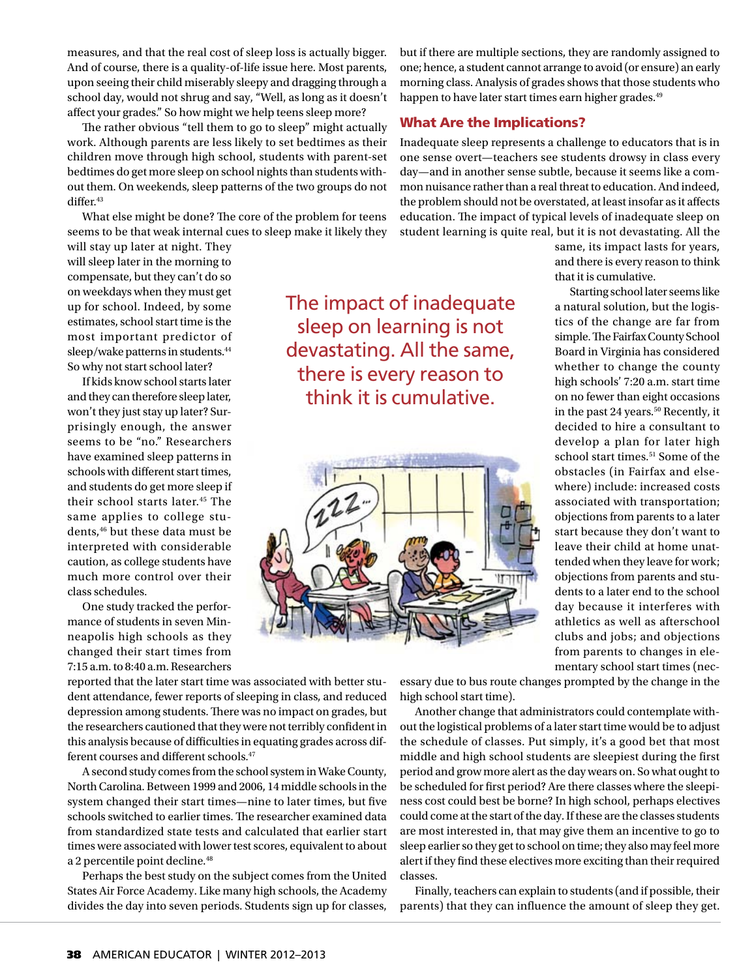measures, and that the real cost of sleep loss is actually bigger. And of course, there is a quality-of-life issue here. Most parents, upon seeing their child miserably sleepy and dragging through a school day, would not shrug and say, "Well, as long as it doesn't affect your grades." So how might we help teens sleep more?

The rather obvious "tell them to go to sleep" might actually work. Although parents are less likely to set bedtimes as their children move through high school, students with parent-set bedtimes do get more sleep on school nights than students without them. On weekends, sleep patterns of the two groups do not differ.<sup>43</sup>

What else might be done? The core of the problem for teens seems to be that weak internal cues to sleep make it likely they

will stay up later at night. They will sleep later in the morning to compensate, but they can't do so on weekdays when they must get up for school. Indeed, by some estimates, school start time is the most important predictor of sleep/wake patterns in students.<sup>44</sup> So why not start school later?

If kids know school starts later and they can therefore sleep later, won't they just stay up later? Surprisingly enough, the answer seems to be "no." Researchers have examined sleep patterns in schools with different start times, and students do get more sleep if their school starts later.45 The same applies to college students,<sup>46</sup> but these data must be interpreted with considerable caution, as college students have much more control over their class schedules.

One study tracked the performance of students in seven Minneapolis high schools as they changed their start times from 7:15 a.m. to 8:40 a.m. Researchers The impact of inadequate sleep on learning is not devastating. All the same, there is every reason to think it is cumulative.



but if there are multiple sections, they are randomly assigned to one; hence, a student cannot arrange to avoid (or ensure) an early morning class. Analysis of grades shows that those students who happen to have later start times earn higher grades.<sup>49</sup>

## What Are the Implications?

Inadequate sleep represents a challenge to educators that is in one sense overt—teachers see students drowsy in class every day—and in another sense subtle, because it seems like a common nuisance rather than a real threat to education. And indeed, the problem should not be overstated, at least insofar as it affects education. The impact of typical levels of inadequate sleep on student learning is quite real, but it is not devastating. All the

same, its impact lasts for years, and there is every reason to think that it is cumulative.

Starting school later seems like a natural solution, but the logistics of the change are far from simple. The Fairfax County School Board in Virginia has considered whether to change the county high schools' 7:20 a.m. start time on no fewer than eight occasions in the past 24 years.<sup>50</sup> Recently, it decided to hire a consultant to develop a plan for later high school start times.<sup>51</sup> Some of the obstacles (in Fairfax and elsewhere) include: increased costs associated with transportation; objections from parents to a later start because they don't want to leave their child at home unattended when they leave for work; objections from parents and students to a later end to the school day because it interferes with athletics as well as afterschool clubs and jobs; and objections from parents to changes in elementary school start times (nec-

reported that the later start time was associated with better student attendance, fewer reports of sleeping in class, and reduced depression among students. There was no impact on grades, but the researchers cautioned that they were not terribly confident in this analysis because of difficulties in equating grades across different courses and different schools.<sup>47</sup>

A second study comes from the school system in Wake County, North Carolina. Between 1999 and 2006, 14 middle schools in the system changed their start times—nine to later times, but five schools switched to earlier times. The researcher examined data from standardized state tests and calculated that earlier start times were associated with lower test scores, equivalent to about a 2 percentile point decline.<sup>48</sup>

Perhaps the best study on the subject comes from the United States Air Force Academy. Like many high schools, the Academy divides the day into seven periods. Students sign up for classes,

essary due to bus route changes prompted by the change in the high school start time).

Another change that administrators could contemplate without the logistical problems of a later start time would be to adjust the schedule of classes. Put simply, it's a good bet that most middle and high school students are sleepiest during the first period and grow more alert as the day wears on. So what ought to be scheduled for first period? Are there classes where the sleepiness cost could best be borne? In high school, perhaps electives could come at the start of the day. If these are the classes students are most interested in, that may give them an incentive to go to sleep earlier so they get to school on time; they also may feel more alert if they find these electives more exciting than their required classes.

Finally, teachers can explain to students (and if possible, their parents) that they can influence the amount of sleep they get.